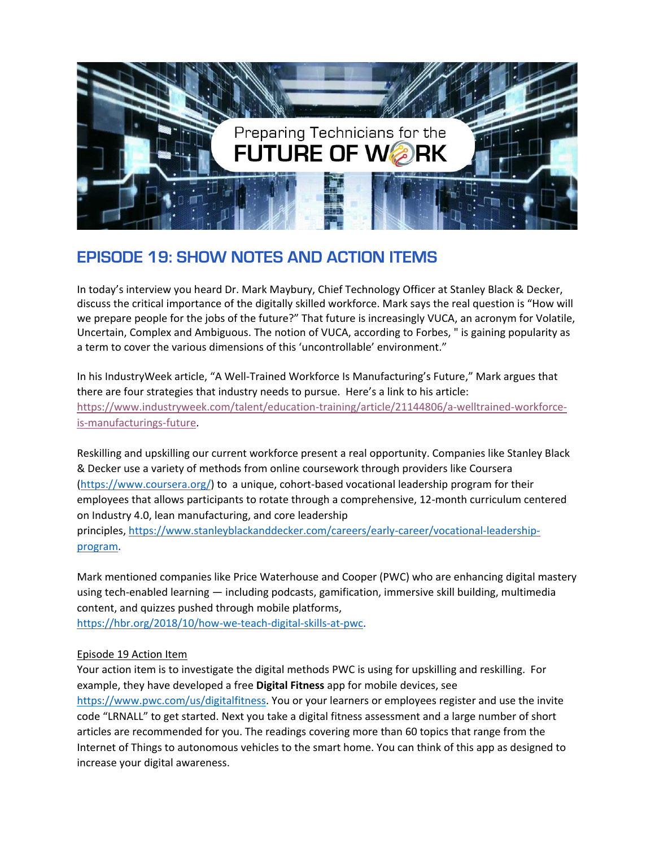

## **EPISODE 19: SHOW NOTES AND ACTION ITEMS**

In today's interview you heard Dr. Mark Maybury, Chief Technology Officer at Stanley Black & Decker, discuss the critical importance of the digitally skilled workforce. Mark says the real question is "How will we prepare people for the jobs of the future?" That future is increasingly VUCA, an acronym for Volatile, Uncertain, Complex and Ambiguous. The notion of VUCA, according to Forbes, " is gaining popularity as a term to cover the various dimensions of this 'uncontrollable' environment."

In his IndustryWeek article, "A Well-Trained Workforce Is Manufacturing's Future," Mark argues that there are four strategies that industry needs to pursue. Here's a link to his article: [https://www.industryweek.com/talent/education-training/article/21144806/a-welltrained-workforce](https://urldefense.com/v3/__https:/www.industryweek.com/talent/education-training/article/21144806/a-welltrained-workforce-is-manufacturings-future__;!!JCruJraw!b7jWKOYUbg4UYa_EcFQBnTI7YUbElBLvGYs3MBXXsEDvlCflUFufwqXTI79gLJc2Cvs$)[is-manufacturings-future.](https://urldefense.com/v3/__https:/www.industryweek.com/talent/education-training/article/21144806/a-welltrained-workforce-is-manufacturings-future__;!!JCruJraw!b7jWKOYUbg4UYa_EcFQBnTI7YUbElBLvGYs3MBXXsEDvlCflUFufwqXTI79gLJc2Cvs$)

Reskilling and upskilling our current workforce present a real opportunity. Companies like Stanley Black & Decker use a variety of methods from online coursework through providers like Coursera [\(https://www.coursera.org/\)](https://urldefense.com/v3/__https:/www.coursera.org/__;!!JCruJraw!b7jWKOYUbg4UYa_EcFQBnTI7YUbElBLvGYs3MBXXsEDvlCflUFufwqXTI79gHXyGR5w$) to a unique, cohort-based vocational leadership program for their employees that allows participants to rotate through a comprehensive, 12-month curriculum centered on Industry 4.0, lean manufacturing, and core leadership principles, [https://www.stanleyblackanddecker.com/careers/early-career/vocational-leadership-](https://www.stanleyblackanddecker.com/careers/early-career/vocational-leadership-program)

[program.](https://www.stanleyblackanddecker.com/careers/early-career/vocational-leadership-program)

Mark mentioned companies like Price Waterhouse and Cooper (PWC) who are enhancing digital mastery using tech-enabled learning — including podcasts, gamification, immersive skill building, multimedia content, and quizzes pushed through mobile platforms,

[https://hbr.org/2018/10/how-we-teach-digital-skills-at-pwc.](https://hbr.org/2018/10/how-we-teach-digital-skills-at-pwc)

## Episode 19 Action Item

Your action item is to investigate the digital methods PWC is using for upskilling and reskilling. For example, they have developed a free **Digital Fitness** app for mobile devices, see [https://www.pwc.com/us/digitalfitness.](https://www.pwc.com/us/digitalfitness) You or your learners or employees register and use the invite code "LRNALL" to get started. Next you take a digital fitness assessment and a large number of short articles are recommended for you. The readings covering more than 60 topics that range from the Internet of Things to autonomous vehicles to the smart home. You can think of this app as designed to increase your digital awareness.